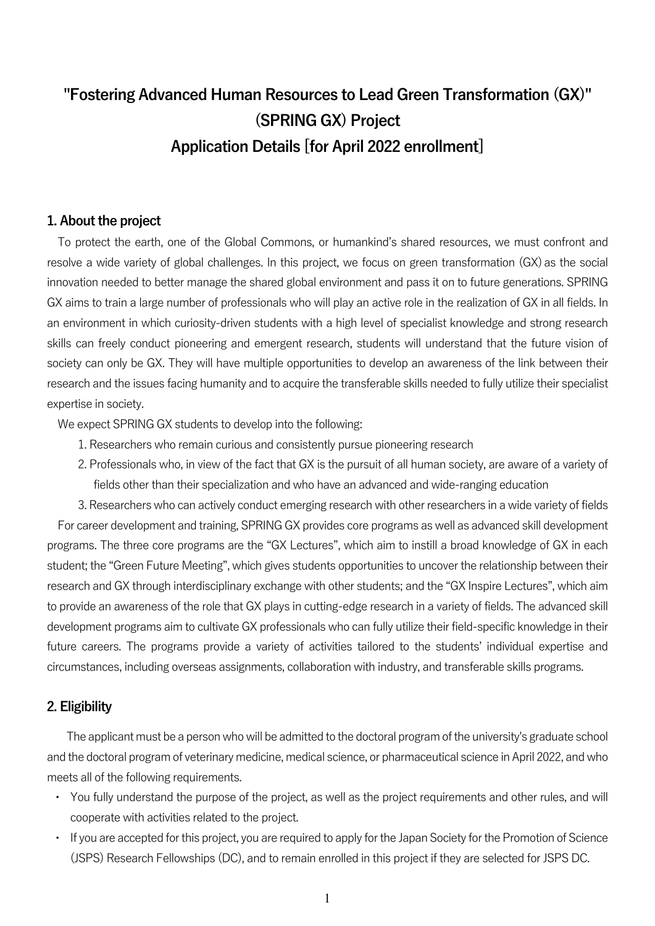# **"Fostering Advanced Human Resources to Lead Green Transformation (GX)" (SPRING GX) Project Application Details [for April 2022 enrollment]**

#### **1. About the project**

To protect the earth, one of the Global Commons, or humankind's shared resources, we must confront and resolve a wide variety of global challenges. In this project, we focus on green transformation (GX)as the social innovation needed to better manage the shared global environment and pass it on to future generations. SPRING GX aims to train a large number of professionals who will play an active role in the realization of GX in all fields. In an environment in which curiosity-driven students with a high level of specialist knowledge and strong research skills can freely conduct pioneering and emergent research, students will understand that the future vision of society can only be GX. They will have multiple opportunities to develop an awareness of the link between their research and the issues facing humanity and to acquire the transferable skills needed to fully utilize their specialist expertise in society.

We expect SPRING GX students to develop into the following:

- 1. Researchers who remain curious and consistently pursue pioneering research
- 2. Professionals who, in view of the fact that GX is the pursuit of all human society, are aware of a variety of fields other than their specialization and who have an advanced and wide-ranging education
- 3. Researchers who can actively conduct emerging research with other researchers in a wide variety of fields

For career development and training, SPRING GX provides core programs as well as advanced skill development programs. The three core programs are the "GX Lectures", which aim to instill a broad knowledge of GX in each student; the "Green Future Meeting", which gives students opportunities to uncover the relationship between their research and GX through interdisciplinary exchange with other students; and the "GX Inspire Lectures", which aim to provide an awareness of the role that GX plays in cutting-edge research in a variety of fields. The advanced skill development programs aim to cultivate GX professionals who can fully utilize their field-specific knowledge in their future careers. The programs provide a variety of activities tailored to the students' individual expertise and circumstances, including overseas assignments, collaboration with industry, and transferable skills programs.

## **2. Eligibility**

The applicant must be a person who will be admitted to the doctoral program of the university's graduate school and the doctoral program of veterinary medicine, medical science, or pharmaceutical science in April 2022, and who meets all of the following requirements.

- ・ You fully understand the purpose of the project, as well as the project requirements and other rules, and will cooperate with activities related to the project.
- ・ If you are accepted for this project, you are required to apply for the Japan Society for the Promotion of Science (JSPS) Research Fellowships (DC), and to remain enrolled in this project if they are selected for JSPS DC.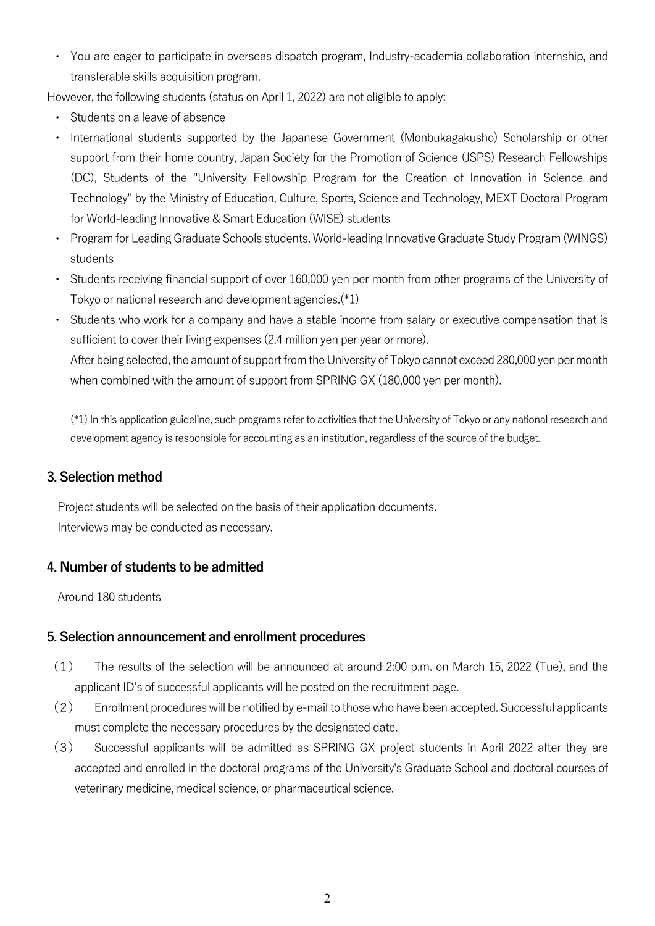・ You are eager to participate in overseas dispatch program, Industry-academia collaboration internship, and transferable skills acquisition program.

However, the following students (status on April 1, 2022) are not eligible to apply:

- ・ Students on a leave of absence
- International students supported by the Japanese Government (Monbukagakusho) Scholarship or other support from their home country, Japan Society for the Promotion of Science (JSPS) Research Fellowships (DC), Students of the "University Fellowship Program for the Creation of Innovation in Science and Technology" by the Ministry of Education, Culture, Sports, Science and Technology, MEXT Doctoral Program for World-leading Innovative & Smart Education (WISE) students
- ・ Program for Leading Graduate Schools students, World-leading Innovative Graduate Study Program (WINGS) students
- ・ Students receiving financial support of over 160,000 yen per month from other programs of the University of Tokyo or national research and development agencies.(\*1)
- Students who work for a company and have a stable income from salary or executive compensation that is sufficient to cover their living expenses (2.4 million yen per year or more). After being selected, the amount of support from the University of Tokyo cannot exceed 280,000 yen per month when combined with the amount of support from SPRING GX (180,000 yen per month).

(\*1) In this application guideline, such programs refer to activities that the University of Tokyo or any national research and development agency is responsible for accounting as an institution, regardless of the source of the budget.

## **3. Selection method**

Project students will be selected on the basis of their application documents. Interviews may be conducted as necessary.

# **4. Number of students to be admitted**

Around 180 students

## **5. Selection announcement and enrollment procedures**

- (1) The results of the selection will be announced at around 2:00 p.m. on March 15, 2022 (Tue), and the applicant ID's of successful applicants will be posted on the recruitment page.
- (2) Enrollment procedures will be notified by e-mail to those who have been accepted. Successful applicants must complete the necessary procedures by the designated date.
- (3) Successful applicants will be admitted as SPRING GX project students in April 2022 after they are accepted and enrolled in the doctoral programs of the University's Graduate School and doctoral courses of veterinary medicine, medical science, or pharmaceutical science.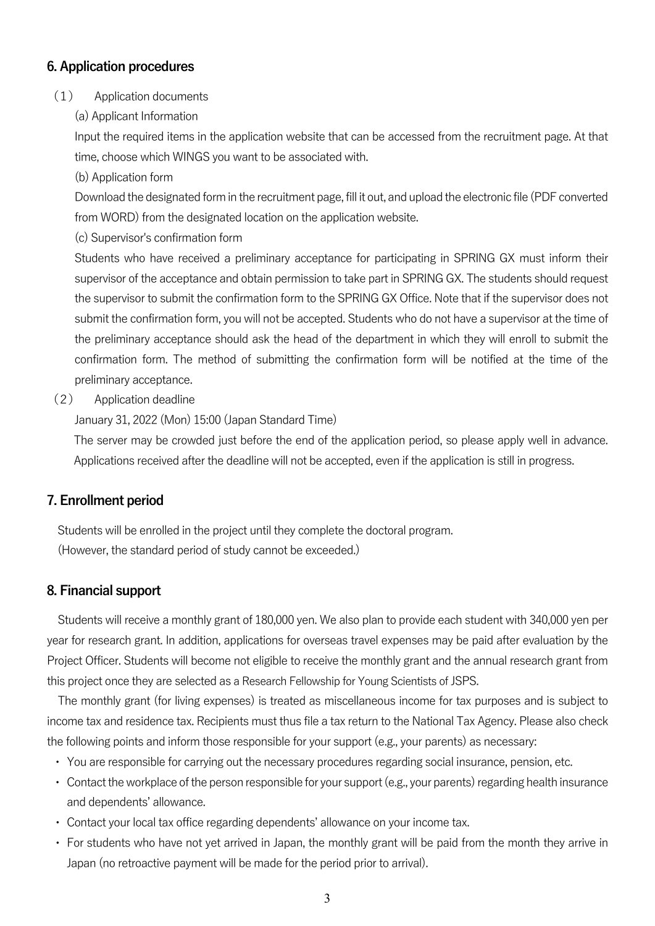## **6. Application procedures**

#### (1) Application documents

(a) Applicant Information

Input the required items in the application website that can be accessed from the recruitment page. At that time, choose which WINGS you want to be associated with.

(b) Application form

Download the designated form in the recruitment page, fill it out, and upload the electronic file (PDF converted from WORD) from the designated location on the application website.

(c) Supervisor's confirmation form

Students who have received a preliminary acceptance for participating in SPRING GX must inform their supervisor of the acceptance and obtain permission to take part in SPRING GX. The students should request the supervisor to submit the confirmation form to the SPRING GX Office. Note that if the supervisor does not submit the confirmation form, you will not be accepted. Students who do not have a supervisor at the time of the preliminary acceptance should ask the head of the department in which they will enroll to submit the confirmation form. The method of submitting the confirmation form will be notified at the time of the preliminary acceptance.

(2) Application deadline

January 31, 2022 (Mon) 15:00 (Japan Standard Time)

The server may be crowded just before the end of the application period, so please apply well in advance. Applications received after the deadline will not be accepted, even if the application is still in progress.

## **7. Enrollment period**

Students will be enrolled in the project until they complete the doctoral program.

(However, the standard period of study cannot be exceeded.)

## **8. Financial support**

Students will receive a monthly grant of 180,000 yen. We also plan to provide each student with 340,000 yen per year for research grant. In addition, applications for overseas travel expenses may be paid after evaluation by the Project Officer. Students will become not eligible to receive the monthly grant and the annual research grant from this project once they are selected as a Research Fellowship for Young Scientists of JSPS.

The monthly grant (for living expenses) is treated as miscellaneous income for tax purposes and is subject to income tax and residence tax. Recipients must thus file a tax return to the National Tax Agency. Please also check the following points and inform those responsible for your support (e.g., your parents) as necessary:

- ・ You are responsible for carrying out the necessary procedures regarding social insurance, pension, etc.
- ・ Contact the workplace of the person responsible for your support (e.g., your parents) regarding health insurance and dependents' allowance.
- ・ Contact your local tax office regarding dependents' allowance on your income tax.
- ・ For students who have not yet arrived in Japan, the monthly grant will be paid from the month they arrive in Japan (no retroactive payment will be made for the period prior to arrival).